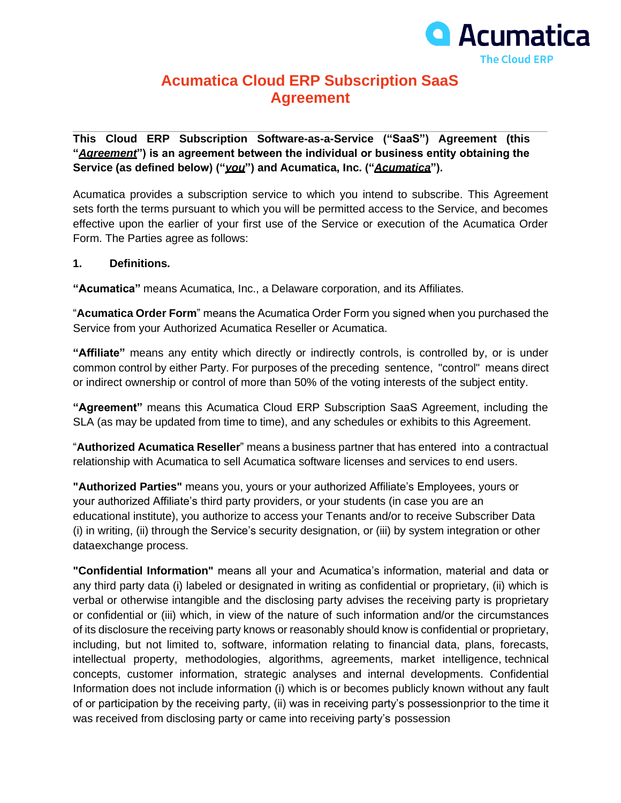

# **Acumatica Cloud ERP Subscription SaaS Agreement**

**This Cloud ERP Subscription Software-as-a-Service ("SaaS") Agreement (this "***Agreement***") is an agreement between the individual or business entity obtaining the Service (as defined below) ("***you***") and Acumatica, Inc. ("***Acumatica***").**

Acumatica provides a subscription service to which you intend to subscribe. This Agreement sets forth the terms pursuant to which you will be permitted access to the Service, and becomes effective upon the earlier of your first use of the Service or execution of the Acumatica Order Form. The Parties agree as follows:

#### **1. Definitions.**

**"Acumatica"** means Acumatica, Inc., a Delaware corporation, and its Affiliates.

"**Acumatica Order Form**" means the Acumatica Order Form you signed when you purchased the Service from your Authorized Acumatica Reseller or Acumatica.

**"Affiliate"** means any entity which directly or indirectly controls, is controlled by, or is under common control by either Party. For purposes of the preceding sentence, "control" means direct or indirect ownership or control of more than 50% of the voting interests of the subject entity.

**"Agreement"** means this Acumatica Cloud ERP Subscription SaaS Agreement, including the SLA (as may be updated from time to time), and any schedules or exhibits to this Agreement.

"**Authorized Acumatica Reseller**" means a business partner that has entered into a contractual relationship with Acumatica to sell Acumatica software licenses and services to end users.

**"Authorized Parties"** means you, yours or your authorized Affiliate's Employees, yours or your authorized Affiliate's third party providers, or your students (in case you are an educational institute), you authorize to access your Tenants and/or to receive Subscriber Data (i) in writing, (ii) through the Service's security designation, or (iii) by system integration or other dataexchange process.

**"Confidential Information"** means all your and Acumatica's information, material and data or any third party data (i) labeled or designated in writing as confidential or proprietary, (ii) which is verbal or otherwise intangible and the disclosing party advises the receiving party is proprietary or confidential or (iii) which, in view of the nature of such information and/or the circumstances of its disclosure the receiving party knows or reasonably should know is confidential or proprietary, including, but not limited to, software, information relating to financial data, plans, forecasts, intellectual property, methodologies, algorithms, agreements, market intelligence, technical concepts, customer information, strategic analyses and internal developments. Confidential Information does not include information (i) which is or becomes publicly known without any fault of or participation by the receiving party, (ii) was in receiving party's possessionprior to the time it was received from disclosing party or came into receiving party's possession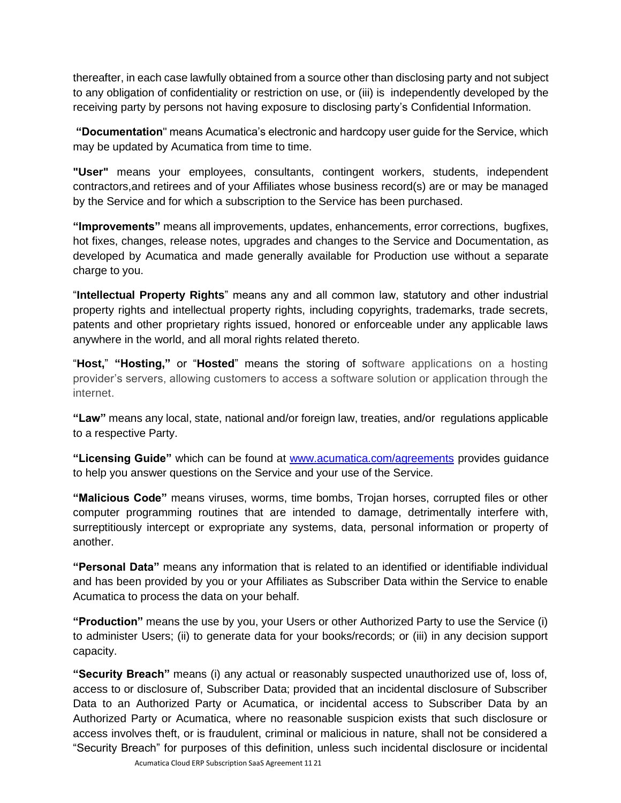thereafter, in each case lawfully obtained from a source other than disclosing party and not subject to any obligation of confidentiality or restriction on use, or (iii) is independently developed by the receiving party by persons not having exposure to disclosing party's Confidential Information.

**"Documentation**" means Acumatica's electronic and hardcopy user guide for the Service, which may be updated by Acumatica from time to time.

**"User"** means your employees, consultants, contingent workers, students, independent contractors,and retirees and of your Affiliates whose business record(s) are or may be managed by the Service and for which a subscription to the Service has been purchased.

**"Improvements"** means all improvements, updates, enhancements, error corrections, bugfixes, hot fixes, changes, release notes, upgrades and changes to the Service and Documentation, as developed by Acumatica and made generally available for Production use without a separate charge to you.

"**Intellectual Property Rights**" means any and all common law, statutory and other industrial property rights and intellectual property rights, including copyrights, trademarks, trade secrets, patents and other proprietary rights issued, honored or enforceable under any applicable laws anywhere in the world, and all moral rights related thereto.

"**Host,**" **"Hosting,"** or "**Hosted**" means the storing of software applications on a hosting provider's servers, allowing customers to access a software solution or application through the internet.

**"Law"** means any local, state, national and/or foreign law, treaties, and/or regulations applicable to a respective Party.

**"Licensing Guide"** which can be found at [www.acumatica.com/agreements](http://www.acumatica.com/agreements) provides guidance to help you answer questions on the Service and your use of the Service.

**"Malicious Code"** means viruses, worms, time bombs, Trojan horses, corrupted files or other computer programming routines that are intended to damage, detrimentally interfere with, surreptitiously intercept or expropriate any systems, data, personal information or property of another.

**"Personal Data"** means any information that is related to an identified or identifiable individual and has been provided by you or your Affiliates as Subscriber Data within the Service to enable Acumatica to process the data on your behalf.

**"Production"** means the use by you, your Users or other Authorized Party to use the Service (i) to administer Users; (ii) to generate data for your books/records; or (iii) in any decision support capacity.

**"Security Breach"** means (i) any actual or reasonably suspected unauthorized use of, loss of, access to or disclosure of, Subscriber Data; provided that an incidental disclosure of Subscriber Data to an Authorized Party or Acumatica, or incidental access to Subscriber Data by an Authorized Party or Acumatica, where no reasonable suspicion exists that such disclosure or access involves theft, or is fraudulent, criminal or malicious in nature, shall not be considered a "Security Breach" for purposes of this definition, unless such incidental disclosure or incidental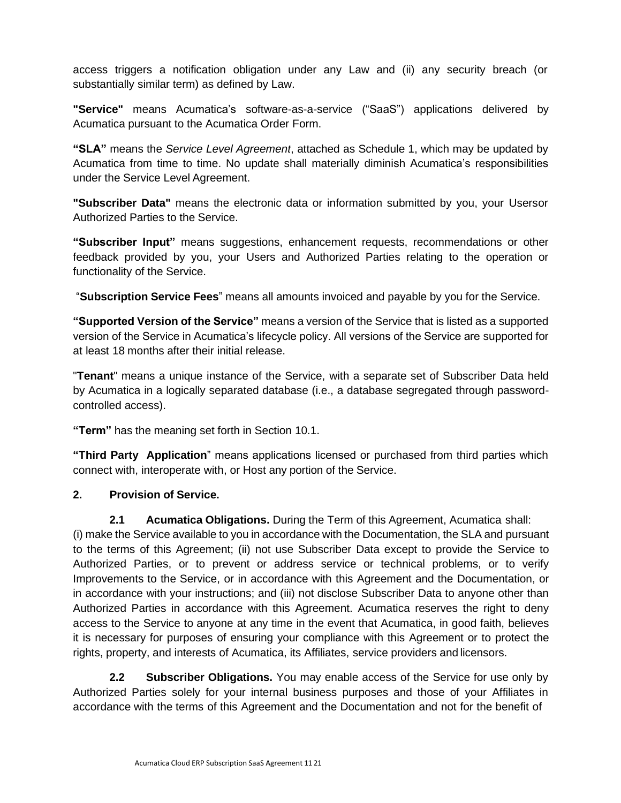access triggers a notification obligation under any Law and (ii) any security breach (or substantially similar term) as defined by Law.

**"Service"** means Acumatica's software-as-a-service ("SaaS") applications delivered by Acumatica pursuant to the Acumatica Order Form.

**"SLA"** means the *Service Level Agreement*, attached as Schedule 1, which may be updated by Acumatica from time to time. No update shall materially diminish Acumatica's responsibilities under the Service Level Agreement.

**"Subscriber Data"** means the electronic data or information submitted by you, your Usersor Authorized Parties to the Service.

**"Subscriber Input"** means suggestions, enhancement requests, recommendations or other feedback provided by you, your Users and Authorized Parties relating to the operation or functionality of the Service.

"**Subscription Service Fees**" means all amounts invoiced and payable by you for the Service.

**"Supported Version of the Service"** means a version of the Service that is listed as a supported version of the Service in Acumatica's lifecycle policy. All versions of the Service are supported for at least 18 months after their initial release.

"**Tenant**" means a unique instance of the Service, with a separate set of Subscriber Data held by Acumatica in a logically separated database (i.e., a database segregated through passwordcontrolled access).

**"Term"** has the meaning set forth in Section 10.1.

**"Third Party Application**" means applications licensed or purchased from third parties which connect with, interoperate with, or Host any portion of the Service.

## **2. Provision of Service.**

**2.1 Acumatica Obligations.** During the Term of this Agreement, Acumatica shall: (i) make the Service available to you in accordance with the Documentation, the SLA and pursuant to the terms of this Agreement; (ii) not use Subscriber Data except to provide the Service to Authorized Parties, or to prevent or address service or technical problems, or to verify Improvements to the Service, or in accordance with this Agreement and the Documentation, or in accordance with your instructions; and (iii) not disclose Subscriber Data to anyone other than Authorized Parties in accordance with this Agreement. Acumatica reserves the right to deny access to the Service to anyone at any time in the event that Acumatica, in good faith, believes it is necessary for purposes of ensuring your compliance with this Agreement or to protect the rights, property, and interests of Acumatica, its Affiliates, service providers and licensors.

**2.2 Subscriber Obligations.** You may enable access of the Service for use only by Authorized Parties solely for your internal business purposes and those of your Affiliates in accordance with the terms of this Agreement and the Documentation and not for the benefit of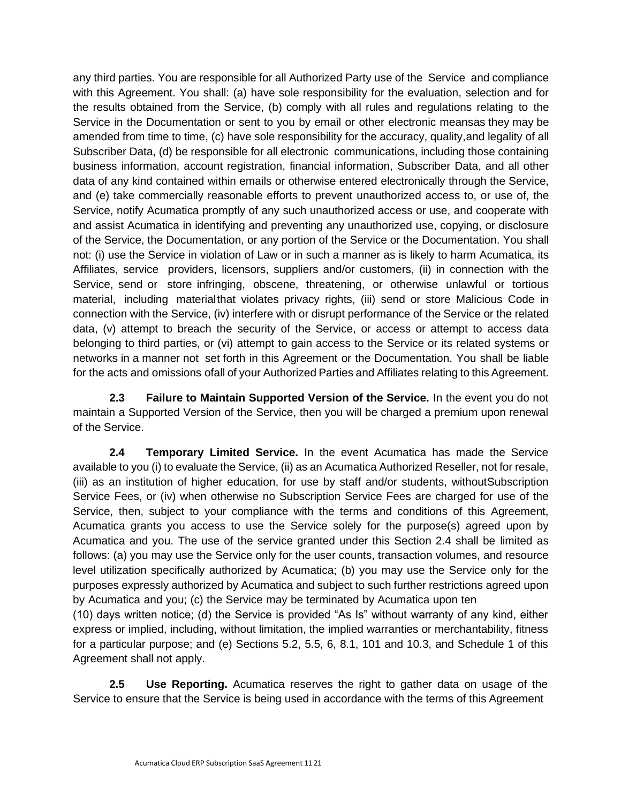any third parties. You are responsible for all Authorized Party use of the Service and compliance with this Agreement. You shall: (a) have sole responsibility for the evaluation, selection and for the results obtained from the Service, (b) comply with all rules and regulations relating to the Service in the Documentation or sent to you by email or other electronic meansas they may be amended from time to time, (c) have sole responsibility for the accuracy, quality,and legality of all Subscriber Data, (d) be responsible for all electronic communications, including those containing business information, account registration, financial information, Subscriber Data, and all other data of any kind contained within emails or otherwise entered electronically through the Service, and (e) take commercially reasonable efforts to prevent unauthorized access to, or use of, the Service, notify Acumatica promptly of any such unauthorized access or use, and cooperate with and assist Acumatica in identifying and preventing any unauthorized use, copying, or disclosure of the Service, the Documentation, or any portion of the Service or the Documentation. You shall not: (i) use the Service in violation of Law or in such a manner as is likely to harm Acumatica, its Affiliates, service providers, licensors, suppliers and/or customers, (ii) in connection with the Service, send or store infringing, obscene, threatening, or otherwise unlawful or tortious material, including materialthat violates privacy rights, (iii) send or store Malicious Code in connection with the Service, (iv) interfere with or disrupt performance of the Service or the related data, (v) attempt to breach the security of the Service, or access or attempt to access data belonging to third parties, or (vi) attempt to gain access to the Service or its related systems or networks in a manner not set forth in this Agreement or the Documentation. You shall be liable for the acts and omissions ofall of your Authorized Parties and Affiliates relating to this Agreement.

**2.3 Failure to Maintain Supported Version of the Service.** In the event you do not maintain a Supported Version of the Service, then you will be charged a premium upon renewal of the Service.

**2.4 Temporary Limited Service.** In the event Acumatica has made the Service available to you (i) to evaluate the Service, (ii) as an Acumatica Authorized Reseller, not for resale, (iii) as an institution of higher education, for use by staff and/or students, withoutSubscription Service Fees, or (iv) when otherwise no Subscription Service Fees are charged for use of the Service, then, subject to your compliance with the terms and conditions of this Agreement, Acumatica grants you access to use the Service solely for the purpose(s) agreed upon by Acumatica and you. The use of the service granted under this Section 2.4 shall be limited as follows: (a) you may use the Service only for the user counts, transaction volumes, and resource level utilization specifically authorized by Acumatica; (b) you may use the Service only for the purposes expressly authorized by Acumatica and subject to such further restrictions agreed upon by Acumatica and you; (c) the Service may be terminated by Acumatica upon ten

(10) days written notice; (d) the Service is provided "As Is" without warranty of any kind, either express or implied, including, without limitation, the implied warranties or merchantability, fitness for a particular purpose; and (e) Sections 5.2, 5.5, 6, 8.1, 101 and 10.3, and Schedule 1 of this Agreement shall not apply.

**2.5 Use Reporting.** Acumatica reserves the right to gather data on usage of the Service to ensure that the Service is being used in accordance with the terms of this Agreement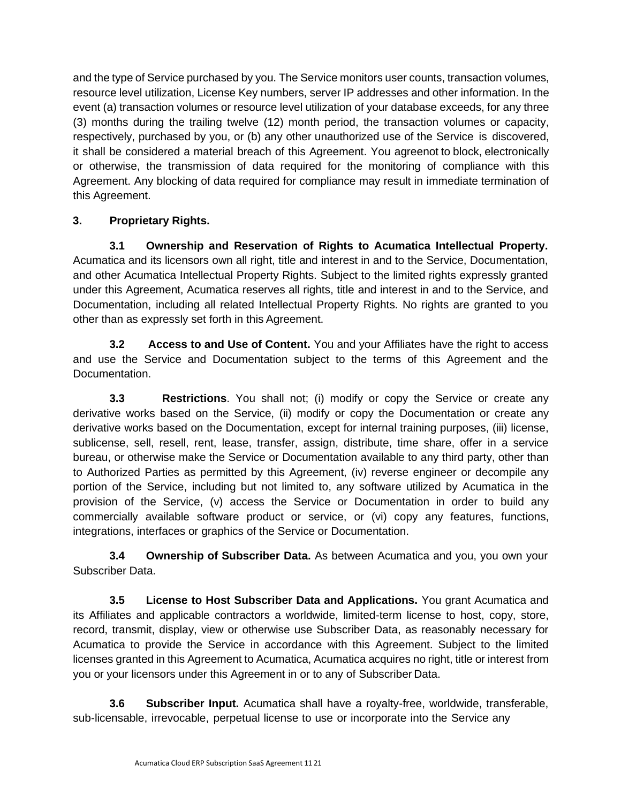and the type of Service purchased by you. The Service monitors user counts, transaction volumes, resource level utilization, License Key numbers, server IP addresses and other information. In the event (a) transaction volumes or resource level utilization of your database exceeds, for any three (3) months during the trailing twelve (12) month period, the transaction volumes or capacity, respectively, purchased by you, or (b) any other unauthorized use of the Service is discovered, it shall be considered a material breach of this Agreement. You agreenot to block, electronically or otherwise, the transmission of data required for the monitoring of compliance with this Agreement. Any blocking of data required for compliance may result in immediate termination of this Agreement.

# **3. Proprietary Rights.**

**3.1 Ownership and Reservation of Rights to Acumatica Intellectual Property.** Acumatica and its licensors own all right, title and interest in and to the Service, Documentation, and other Acumatica Intellectual Property Rights. Subject to the limited rights expressly granted under this Agreement, Acumatica reserves all rights, title and interest in and to the Service, and Documentation, including all related Intellectual Property Rights. No rights are granted to you other than as expressly set forth in this Agreement.

**3.2 Access to and Use of Content.** You and your Affiliates have the right to access and use the Service and Documentation subject to the terms of this Agreement and the Documentation.

**3.3 Restrictions**. You shall not; (i) modify or copy the Service or create any derivative works based on the Service, (ii) modify or copy the Documentation or create any derivative works based on the Documentation, except for internal training purposes, (iii) license, sublicense, sell, resell, rent, lease, transfer, assign, distribute, time share, offer in a service bureau, or otherwise make the Service or Documentation available to any third party, other than to Authorized Parties as permitted by this Agreement, (iv) reverse engineer or decompile any portion of the Service, including but not limited to, any software utilized by Acumatica in the provision of the Service, (v) access the Service or Documentation in order to build any commercially available software product or service, or (vi) copy any features, functions, integrations, interfaces or graphics of the Service or Documentation.

**3.4 Ownership of Subscriber Data.** As between Acumatica and you, you own your Subscriber Data.

**3.5 License to Host Subscriber Data and Applications.** You grant Acumatica and its Affiliates and applicable contractors a worldwide, limited-term license to host, copy, store, record, transmit, display, view or otherwise use Subscriber Data, as reasonably necessary for Acumatica to provide the Service in accordance with this Agreement. Subject to the limited licenses granted in this Agreement to Acumatica, Acumatica acquires no right, title or interest from you or your licensors under this Agreement in or to any of Subscriber Data.

**3.6 Subscriber Input.** Acumatica shall have a royalty-free, worldwide, transferable, sub-licensable, irrevocable, perpetual license to use or incorporate into the Service any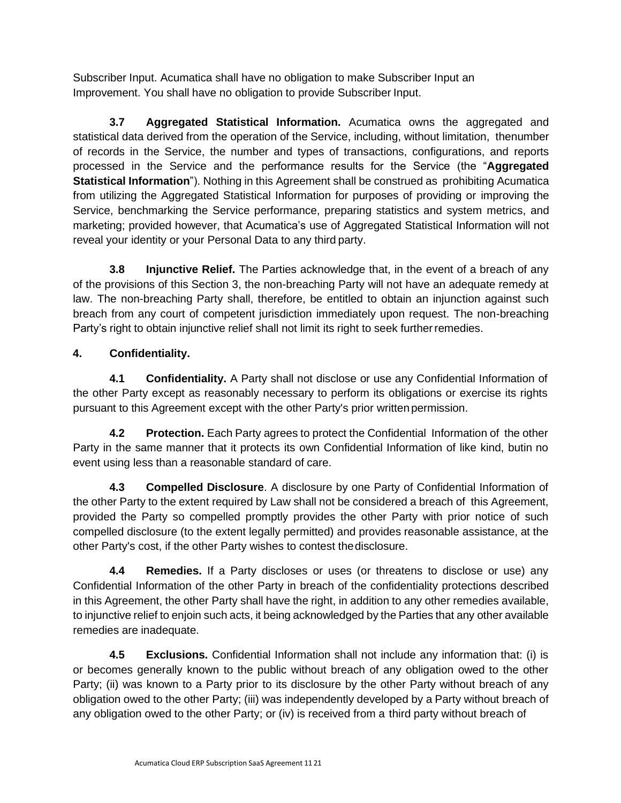Subscriber Input. Acumatica shall have no obligation to make Subscriber Input an Improvement. You shall have no obligation to provide Subscriber Input.

**3.7 Aggregated Statistical Information.** Acumatica owns the aggregated and statistical data derived from the operation of the Service, including, without limitation, thenumber of records in the Service, the number and types of transactions, configurations, and reports processed in the Service and the performance results for the Service (the "**Aggregated Statistical Information**"). Nothing in this Agreement shall be construed as prohibiting Acumatica from utilizing the Aggregated Statistical Information for purposes of providing or improving the Service, benchmarking the Service performance, preparing statistics and system metrics, and marketing; provided however, that Acumatica's use of Aggregated Statistical Information will not reveal your identity or your Personal Data to any third party.

**3.8 Injunctive Relief.** The Parties acknowledge that, in the event of a breach of any of the provisions of this Section 3, the non-breaching Party will not have an adequate remedy at law. The non-breaching Party shall, therefore, be entitled to obtain an injunction against such breach from any court of competent jurisdiction immediately upon request. The non-breaching Party's right to obtain injunctive relief shall not limit its right to seek further remedies.

# **4. Confidentiality.**

**4.1 Confidentiality.** A Party shall not disclose or use any Confidential Information of the other Party except as reasonably necessary to perform its obligations or exercise its rights pursuant to this Agreement except with the other Party's prior written permission.

**4.2 Protection.** Each Party agrees to protect the Confidential Information of the other Party in the same manner that it protects its own Confidential Information of like kind, butin no event using less than a reasonable standard of care.

**4.3 Compelled Disclosure**. A disclosure by one Party of Confidential Information of the other Party to the extent required by Law shall not be considered a breach of this Agreement, provided the Party so compelled promptly provides the other Party with prior notice of such compelled disclosure (to the extent legally permitted) and provides reasonable assistance, at the other Party's cost, if the other Party wishes to contest thedisclosure.

**4.4 Remedies.** If a Party discloses or uses (or threatens to disclose or use) any Confidential Information of the other Party in breach of the confidentiality protections described in this Agreement, the other Party shall have the right, in addition to any other remedies available, to injunctive relief to enjoin such acts, it being acknowledged by the Parties that any other available remedies are inadequate.

**4.5 Exclusions.** Confidential Information shall not include any information that: (i) is or becomes generally known to the public without breach of any obligation owed to the other Party; (ii) was known to a Party prior to its disclosure by the other Party without breach of any obligation owed to the other Party; (iii) was independently developed by a Party without breach of any obligation owed to the other Party; or (iv) is received from a third party without breach of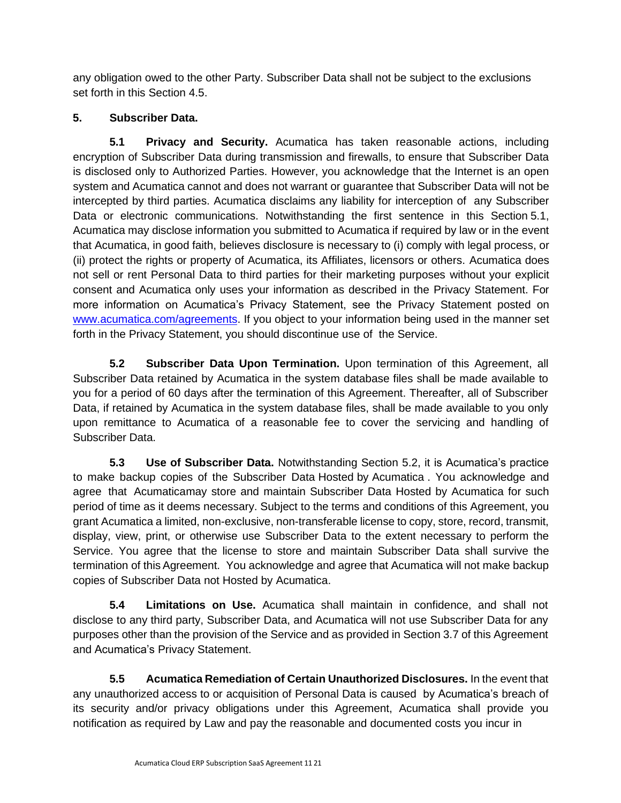any obligation owed to the other Party. Subscriber Data shall not be subject to the exclusions set forth in this Section 4.5.

# **5. Subscriber Data.**

**5.1 Privacy and Security.** Acumatica has taken reasonable actions, including encryption of Subscriber Data during transmission and firewalls, to ensure that Subscriber Data is disclosed only to Authorized Parties. However, you acknowledge that the Internet is an open system and Acumatica cannot and does not warrant or guarantee that Subscriber Data will not be intercepted by third parties. Acumatica disclaims any liability for interception of any Subscriber Data or electronic communications. Notwithstanding the first sentence in this Section 5.1, Acumatica may disclose information you submitted to Acumatica if required by law or in the event that Acumatica, in good faith, believes disclosure is necessary to (i) comply with legal process, or (ii) protect the rights or property of Acumatica, its Affiliates, licensors or others. Acumatica does not sell or rent Personal Data to third parties for their marketing purposes without your explicit consent and Acumatica only uses your information as described in the Privacy Statement. For more information on Acumatica's Privacy Statement, see the Privacy Statement posted on [www.acumatica.com/](http://www.acumatica.com/)agreements. If you object to your information being used in the manner set forth in the Privacy Statement, you should discontinue use of the Service.

**5.2 Subscriber Data Upon Termination.** Upon termination of this Agreement, all Subscriber Data retained by Acumatica in the system database files shall be made available to you for a period of 60 days after the termination of this Agreement. Thereafter, all of Subscriber Data, if retained by Acumatica in the system database files, shall be made available to you only upon remittance to Acumatica of a reasonable fee to cover the servicing and handling of Subscriber Data.

**5.3 Use of Subscriber Data.** Notwithstanding Section 5.2, it is Acumatica's practice to make backup copies of the Subscriber Data Hosted by Acumatica . You acknowledge and agree that Acumaticamay store and maintain Subscriber Data Hosted by Acumatica for such period of time as it deems necessary. Subject to the terms and conditions of this Agreement, you grant Acumatica a limited, non-exclusive, non-transferable license to copy, store, record, transmit, display, view, print, or otherwise use Subscriber Data to the extent necessary to perform the Service. You agree that the license to store and maintain Subscriber Data shall survive the termination of this Agreement. You acknowledge and agree that Acumatica will not make backup copies of Subscriber Data not Hosted by Acumatica.

**5.4 Limitations on Use.** Acumatica shall maintain in confidence, and shall not disclose to any third party, Subscriber Data, and Acumatica will not use Subscriber Data for any purposes other than the provision of the Service and as provided in Section 3.7 of this Agreement and Acumatica's Privacy Statement.

**5.5 Acumatica Remediation of Certain Unauthorized Disclosures.** In the event that any unauthorized access to or acquisition of Personal Data is caused by Acumatica's breach of its security and/or privacy obligations under this Agreement, Acumatica shall provide you notification as required by Law and pay the reasonable and documented costs you incur in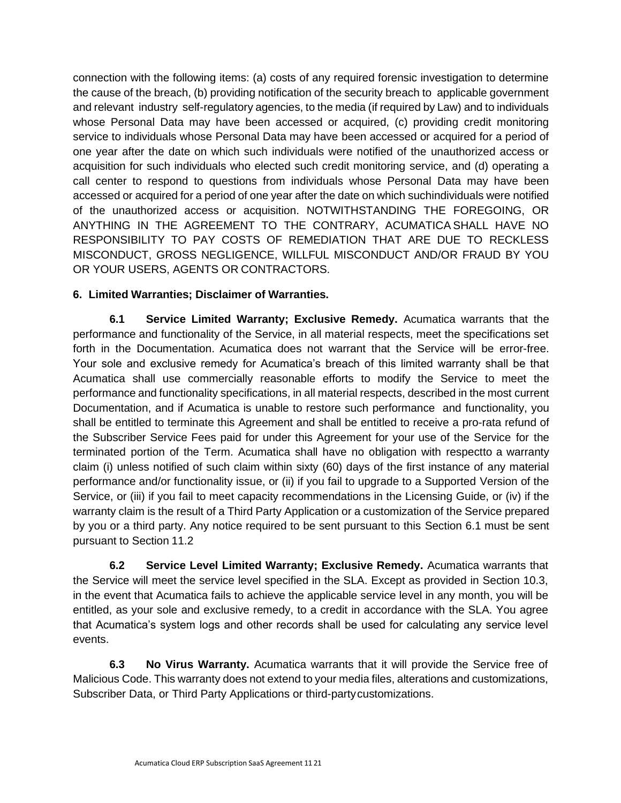connection with the following items: (a) costs of any required forensic investigation to determine the cause of the breach, (b) providing notification of the security breach to applicable government and relevant industry self-regulatory agencies, to the media (if required by Law) and to individuals whose Personal Data may have been accessed or acquired, (c) providing credit monitoring service to individuals whose Personal Data may have been accessed or acquired for a period of one year after the date on which such individuals were notified of the unauthorized access or acquisition for such individuals who elected such credit monitoring service, and (d) operating a call center to respond to questions from individuals whose Personal Data may have been accessed or acquired for a period of one year after the date on which suchindividuals were notified of the unauthorized access or acquisition. NOTWITHSTANDING THE FOREGOING, OR ANYTHING IN THE AGREEMENT TO THE CONTRARY, ACUMATICA SHALL HAVE NO RESPONSIBILITY TO PAY COSTS OF REMEDIATION THAT ARE DUE TO RECKLESS MISCONDUCT, GROSS NEGLIGENCE, WILLFUL MISCONDUCT AND/OR FRAUD BY YOU OR YOUR USERS, AGENTS OR CONTRACTORS.

# **6. Limited Warranties; Disclaimer of Warranties.**

**6.1 Service Limited Warranty; Exclusive Remedy.** Acumatica warrants that the performance and functionality of the Service, in all material respects, meet the specifications set forth in the Documentation. Acumatica does not warrant that the Service will be error-free. Your sole and exclusive remedy for Acumatica's breach of this limited warranty shall be that Acumatica shall use commercially reasonable efforts to modify the Service to meet the performance and functionality specifications, in all material respects, described in the most current Documentation, and if Acumatica is unable to restore such performance and functionality, you shall be entitled to terminate this Agreement and shall be entitled to receive a pro-rata refund of the Subscriber Service Fees paid for under this Agreement for your use of the Service for the terminated portion of the Term. Acumatica shall have no obligation with respectto a warranty claim (i) unless notified of such claim within sixty (60) days of the first instance of any material performance and/or functionality issue, or (ii) if you fail to upgrade to a Supported Version of the Service, or (iii) if you fail to meet capacity recommendations in the Licensing Guide, or (iv) if the warranty claim is the result of a Third Party Application or a customization of the Service prepared by you or a third party. Any notice required to be sent pursuant to this Section 6.1 must be sent pursuant to Section 11.2

**6.2 Service Level Limited Warranty; Exclusive Remedy.** Acumatica warrants that the Service will meet the service level specified in the SLA. Except as provided in Section 10.3, in the event that Acumatica fails to achieve the applicable service level in any month, you will be entitled, as your sole and exclusive remedy, to a credit in accordance with the SLA. You agree that Acumatica's system logs and other records shall be used for calculating any service level events.

**6.3 No Virus Warranty.** Acumatica warrants that it will provide the Service free of Malicious Code. This warranty does not extend to your media files, alterations and customizations, Subscriber Data, or Third Party Applications or third-partycustomizations.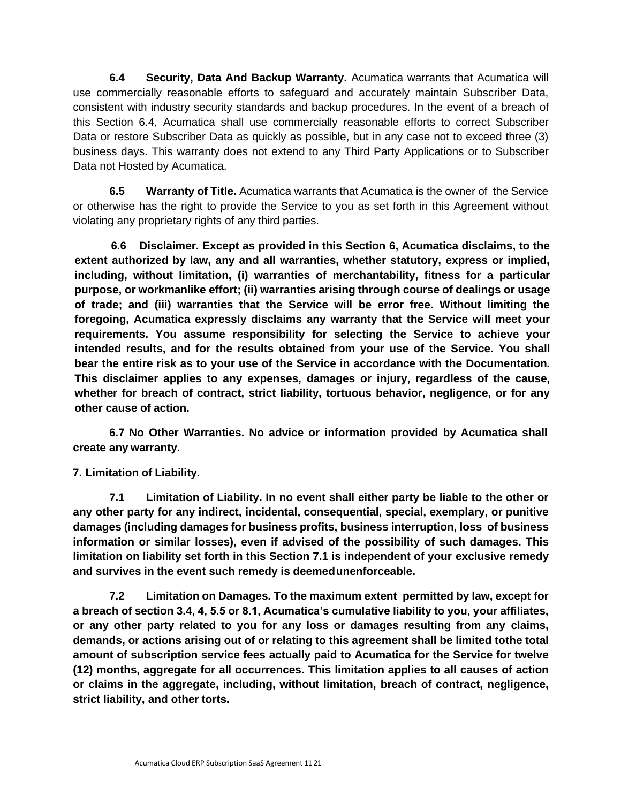**6.4 Security, Data And Backup Warranty.** Acumatica warrants that Acumatica will use commercially reasonable efforts to safeguard and accurately maintain Subscriber Data, consistent with industry security standards and backup procedures. In the event of a breach of this Section 6.4, Acumatica shall use commercially reasonable efforts to correct Subscriber Data or restore Subscriber Data as quickly as possible, but in any case not to exceed three (3) business days. This warranty does not extend to any Third Party Applications or to Subscriber Data not Hosted by Acumatica.

**6.5 Warranty of Title.** Acumatica warrants that Acumatica is the owner of the Service or otherwise has the right to provide the Service to you as set forth in this Agreement without violating any proprietary rights of any third parties.

**6.6 Disclaimer. Except as provided in this Section 6, Acumatica disclaims, to the extent authorized by law, any and all warranties, whether statutory, express or implied, including, without limitation, (i) warranties of merchantability, fitness for a particular purpose, or workmanlike effort; (ii) warranties arising through course of dealings or usage of trade; and (iii) warranties that the Service will be error free. Without limiting the foregoing, Acumatica expressly disclaims any warranty that the Service will meet your requirements. You assume responsibility for selecting the Service to achieve your intended results, and for the results obtained from your use of the Service. You shall bear the entire risk as to your use of the Service in accordance with the Documentation. This disclaimer applies to any expenses, damages or injury, regardless of the cause, whether for breach of contract, strict liability, tortuous behavior, negligence, or for any other cause of action.**

**6.7 No Other Warranties. No advice or information provided by Acumatica shall create any warranty.**

## **7. Limitation of Liability.**

**7.1 Limitation of Liability. In no event shall either party be liable to the other or any other party for any indirect, incidental, consequential, special, exemplary, or punitive damages (including damages for business profits, business interruption, loss of business information or similar losses), even if advised of the possibility of such damages. This limitation on liability set forth in this Section 7.1 is independent of your exclusive remedy and survives in the event such remedy is deemedunenforceable.**

**7.2 Limitation on Damages. To the maximum extent permitted by law, except for a breach of section 3.4, 4, 5.5 or 8.1, Acumatica's cumulative liability to you, your affiliates, or any other party related to you for any loss or damages resulting from any claims, demands, or actions arising out of or relating to this agreement shall be limited tothe total amount of subscription service fees actually paid to Acumatica for the Service for twelve (12) months, aggregate for all occurrences. This limitation applies to all causes of action or claims in the aggregate, including, without limitation, breach of contract, negligence, strict liability, and other torts.**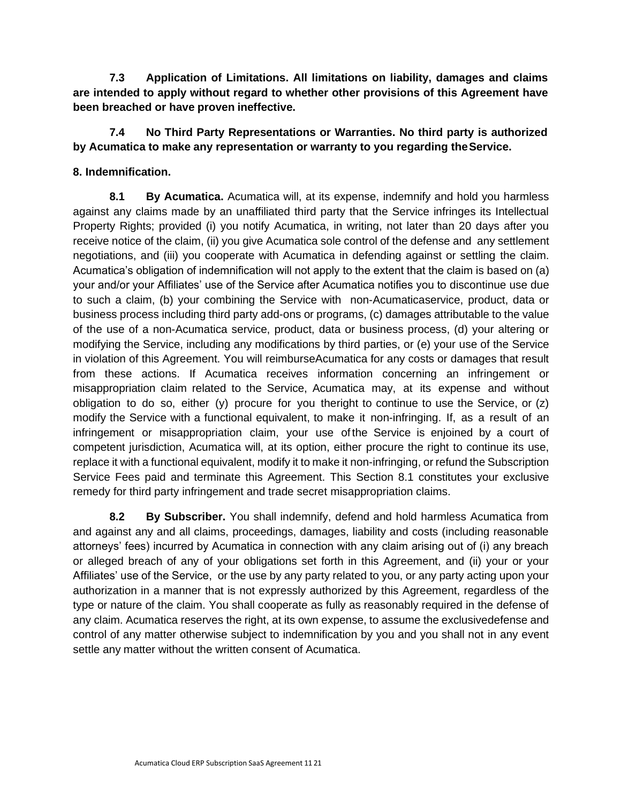**7.3 Application of Limitations. All limitations on liability, damages and claims are intended to apply without regard to whether other provisions of this Agreement have been breached or have proven ineffective.**

## **7.4 No Third Party Representations or Warranties. No third party is authorized by Acumatica to make any representation or warranty to you regarding theService.**

## **8. Indemnification.**

**8.1 By Acumatica.** Acumatica will, at its expense, indemnify and hold you harmless against any claims made by an unaffiliated third party that the Service infringes its Intellectual Property Rights; provided (i) you notify Acumatica, in writing, not later than 20 days after you receive notice of the claim, (ii) you give Acumatica sole control of the defense and any settlement negotiations, and (iii) you cooperate with Acumatica in defending against or settling the claim. Acumatica's obligation of indemnification will not apply to the extent that the claim is based on (a) your and/or your Affiliates' use of the Service after Acumatica notifies you to discontinue use due to such a claim, (b) your combining the Service with non-Acumaticaservice, product, data or business process including third party add-ons or programs, (c) damages attributable to the value of the use of a non-Acumatica service, product, data or business process, (d) your altering or modifying the Service, including any modifications by third parties, or (e) your use of the Service in violation of this Agreement. You will reimburseAcumatica for any costs or damages that result from these actions. If Acumatica receives information concerning an infringement or misappropriation claim related to the Service, Acumatica may, at its expense and without obligation to do so, either (y) procure for you theright to continue to use the Service, or (z) modify the Service with a functional equivalent, to make it non-infringing. If, as a result of an infringement or misappropriation claim, your use ofthe Service is enjoined by a court of competent jurisdiction, Acumatica will, at its option, either procure the right to continue its use, replace it with a functional equivalent, modify it to make it non-infringing, or refund the Subscription Service Fees paid and terminate this Agreement. This Section 8.1 constitutes your exclusive remedy for third party infringement and trade secret misappropriation claims.

**8.2 By Subscriber.** You shall indemnify, defend and hold harmless Acumatica from and against any and all claims, proceedings, damages, liability and costs (including reasonable attorneys' fees) incurred by Acumatica in connection with any claim arising out of (i) any breach or alleged breach of any of your obligations set forth in this Agreement, and (ii) your or your Affiliates' use of the Service, or the use by any party related to you, or any party acting upon your authorization in a manner that is not expressly authorized by this Agreement, regardless of the type or nature of the claim. You shall cooperate as fully as reasonably required in the defense of any claim. Acumatica reserves the right, at its own expense, to assume the exclusivedefense and control of any matter otherwise subject to indemnification by you and you shall not in any event settle any matter without the written consent of Acumatica.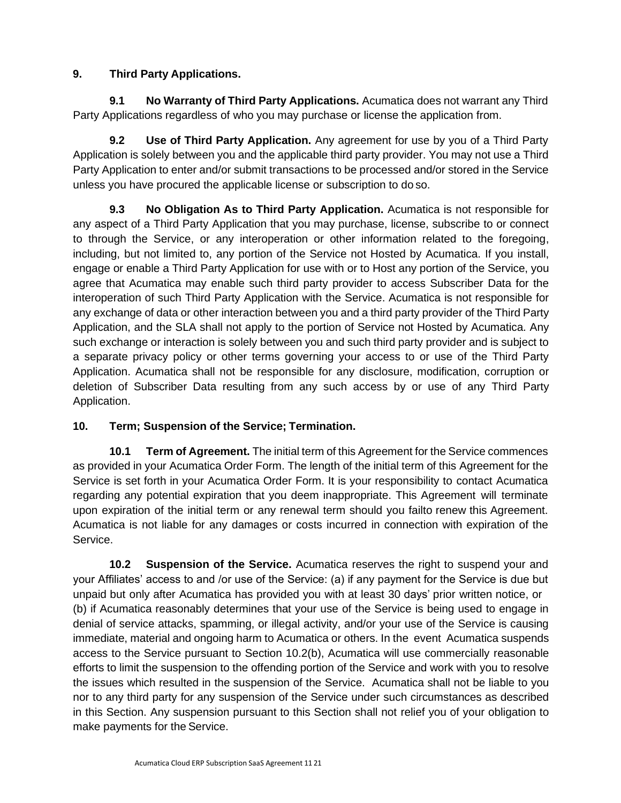# **9. Third Party Applications.**

**9.1 No Warranty of Third Party Applications.** Acumatica does not warrant any Third Party Applications regardless of who you may purchase or license the application from.

**9.2 Use of Third Party Application.** Any agreement for use by you of a Third Party Application is solely between you and the applicable third party provider. You may not use a Third Party Application to enter and/or submit transactions to be processed and/or stored in the Service unless you have procured the applicable license or subscription to do so.

**9.3 No Obligation As to Third Party Application.** Acumatica is not responsible for any aspect of a Third Party Application that you may purchase, license, subscribe to or connect to through the Service, or any interoperation or other information related to the foregoing, including, but not limited to, any portion of the Service not Hosted by Acumatica. If you install, engage or enable a Third Party Application for use with or to Host any portion of the Service, you agree that Acumatica may enable such third party provider to access Subscriber Data for the interoperation of such Third Party Application with the Service. Acumatica is not responsible for any exchange of data or other interaction between you and a third party provider of the Third Party Application, and the SLA shall not apply to the portion of Service not Hosted by Acumatica. Any such exchange or interaction is solely between you and such third party provider and is subject to a separate privacy policy or other terms governing your access to or use of the Third Party Application. Acumatica shall not be responsible for any disclosure, modification, corruption or deletion of Subscriber Data resulting from any such access by or use of any Third Party Application.

# **10. Term; Suspension of the Service; Termination.**

**10.1 Term of Agreement.** The initial term of this Agreement for the Service commences as provided in your Acumatica Order Form. The length of the initial term of this Agreement for the Service is set forth in your Acumatica Order Form. It is your responsibility to contact Acumatica regarding any potential expiration that you deem inappropriate. This Agreement will terminate upon expiration of the initial term or any renewal term should you failto renew this Agreement. Acumatica is not liable for any damages or costs incurred in connection with expiration of the Service.

**10.2 Suspension of the Service.** Acumatica reserves the right to suspend your and your Affiliates' access to and /or use of the Service: (a) if any payment for the Service is due but unpaid but only after Acumatica has provided you with at least 30 days' prior written notice, or (b) if Acumatica reasonably determines that your use of the Service is being used to engage in denial of service attacks, spamming, or illegal activity, and/or your use of the Service is causing immediate, material and ongoing harm to Acumatica or others. In the event Acumatica suspends access to the Service pursuant to Section 10.2(b), Acumatica will use commercially reasonable efforts to limit the suspension to the offending portion of the Service and work with you to resolve the issues which resulted in the suspension of the Service. Acumatica shall not be liable to you nor to any third party for any suspension of the Service under such circumstances as described in this Section. Any suspension pursuant to this Section shall not relief you of your obligation to make payments for the Service.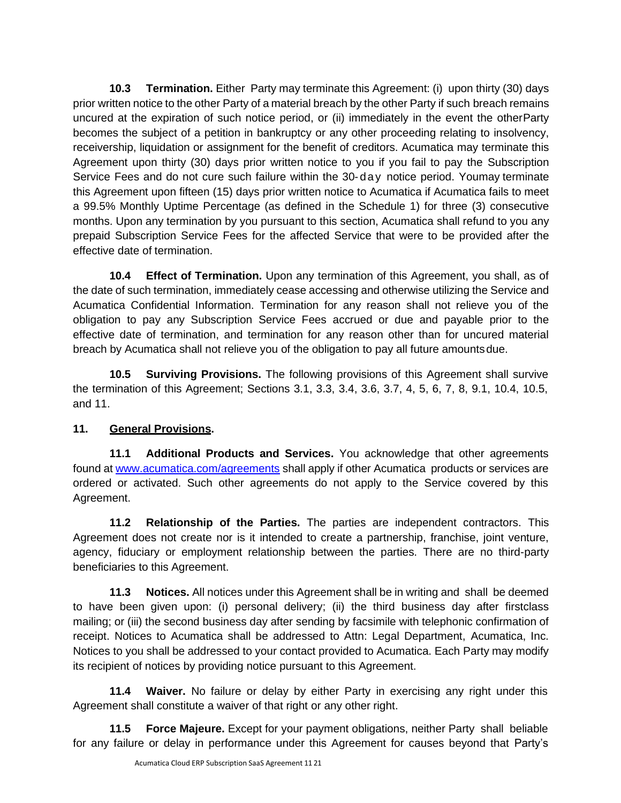**10.3 Termination.** Either Party may terminate this Agreement: (i) upon thirty (30) days prior written notice to the other Party of a material breach by the other Party if such breach remains uncured at the expiration of such notice period, or (ii) immediately in the event the otherParty becomes the subject of a petition in bankruptcy or any other proceeding relating to insolvency, receivership, liquidation or assignment for the benefit of creditors. Acumatica may terminate this Agreement upon thirty (30) days prior written notice to you if you fail to pay the Subscription Service Fees and do not cure such failure within the 30- da y notice period. Youmay terminate this Agreement upon fifteen (15) days prior written notice to Acumatica if Acumatica fails to meet a 99.5% Monthly Uptime Percentage (as defined in the Schedule 1) for three (3) consecutive months. Upon any termination by you pursuant to this section, Acumatica shall refund to you any prepaid Subscription Service Fees for the affected Service that were to be provided after the effective date of termination.

**10.4 Effect of Termination.** Upon any termination of this Agreement, you shall, as of the date of such termination, immediately cease accessing and otherwise utilizing the Service and Acumatica Confidential Information. Termination for any reason shall not relieve you of the obligation to pay any Subscription Service Fees accrued or due and payable prior to the effective date of termination, and termination for any reason other than for uncured material breach by Acumatica shall not relieve you of the obligation to pay all future amountsdue.

**10.5 Surviving Provisions.** The following provisions of this Agreement shall survive the termination of this Agreement; Sections 3.1, 3.3, 3.4, 3.6, 3.7, 4, 5, 6, 7, 8, 9.1, 10.4, 10.5, and 11.

# **11. General Provisions.**

**11.1 Additional Products and Services.** You acknowledge that other agreements found at [www.acumatica.com/agreements](http://www.acumatica.com/agreements) shall apply if other Acumatica products or services are ordered or activated. Such other agreements do not apply to the Service covered by this Agreement.

**11.2 Relationship of the Parties.** The parties are independent contractors. This Agreement does not create nor is it intended to create a partnership, franchise, joint venture, agency, fiduciary or employment relationship between the parties. There are no third-party beneficiaries to this Agreement.

**11.3 Notices.** All notices under this Agreement shall be in writing and shall be deemed to have been given upon: (i) personal delivery; (ii) the third business day after firstclass mailing; or (iii) the second business day after sending by facsimile with telephonic confirmation of receipt. Notices to Acumatica shall be addressed to Attn: Legal Department, Acumatica, Inc. Notices to you shall be addressed to your contact provided to Acumatica. Each Party may modify its recipient of notices by providing notice pursuant to this Agreement.

**11.4 Waiver.** No failure or delay by either Party in exercising any right under this Agreement shall constitute a waiver of that right or any other right.

**11.5 Force Majeure.** Except for your payment obligations, neither Party shall beliable for any failure or delay in performance under this Agreement for causes beyond that Party's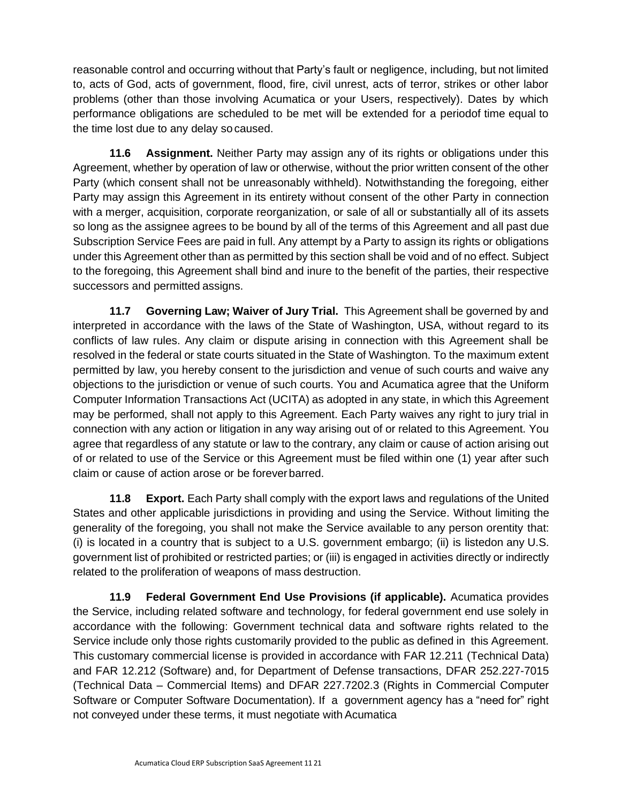reasonable control and occurring without that Party's fault or negligence, including, but not limited to, acts of God, acts of government, flood, fire, civil unrest, acts of terror, strikes or other labor problems (other than those involving Acumatica or your Users, respectively). Dates by which performance obligations are scheduled to be met will be extended for a periodof time equal to the time lost due to any delay so caused.

**11.6 Assignment.** Neither Party may assign any of its rights or obligations under this Agreement, whether by operation of law or otherwise, without the prior written consent of the other Party (which consent shall not be unreasonably withheld). Notwithstanding the foregoing, either Party may assign this Agreement in its entirety without consent of the other Party in connection with a merger, acquisition, corporate reorganization, or sale of all or substantially all of its assets so long as the assignee agrees to be bound by all of the terms of this Agreement and all past due Subscription Service Fees are paid in full. Any attempt by a Party to assign its rights or obligations under this Agreement other than as permitted by this section shall be void and of no effect. Subject to the foregoing, this Agreement shall bind and inure to the benefit of the parties, their respective successors and permitted assigns.

**11.7 Governing Law; Waiver of Jury Trial.** This Agreement shall be governed by and interpreted in accordance with the laws of the State of Washington, USA, without regard to its conflicts of law rules. Any claim or dispute arising in connection with this Agreement shall be resolved in the federal or state courts situated in the State of Washington. To the maximum extent permitted by law, you hereby consent to the jurisdiction and venue of such courts and waive any objections to the jurisdiction or venue of such courts. You and Acumatica agree that the Uniform Computer Information Transactions Act (UCITA) as adopted in any state, in which this Agreement may be performed, shall not apply to this Agreement. Each Party waives any right to jury trial in connection with any action or litigation in any way arising out of or related to this Agreement. You agree that regardless of any statute or law to the contrary, any claim or cause of action arising out of or related to use of the Service or this Agreement must be filed within one (1) year after such claim or cause of action arose or be foreverbarred.

**11.8 Export.** Each Party shall comply with the export laws and regulations of the United States and other applicable jurisdictions in providing and using the Service. Without limiting the generality of the foregoing, you shall not make the Service available to any person orentity that: (i) is located in a country that is subject to a U.S. government embargo; (ii) is listedon any U.S. government list of prohibited or restricted parties; or (iii) is engaged in activities directly or indirectly related to the proliferation of weapons of mass destruction.

**11.9 Federal Government End Use Provisions (if applicable).** Acumatica provides the Service, including related software and technology, for federal government end use solely in accordance with the following: Government technical data and software rights related to the Service include only those rights customarily provided to the public as defined in this Agreement. This customary commercial license is provided in accordance with FAR 12.211 (Technical Data) and FAR 12.212 (Software) and, for Department of Defense transactions, DFAR 252.227-7015 (Technical Data – Commercial Items) and DFAR 227.7202.3 (Rights in Commercial Computer Software or Computer Software Documentation). If a government agency has a "need for" right not conveyed under these terms, it must negotiate with Acumatica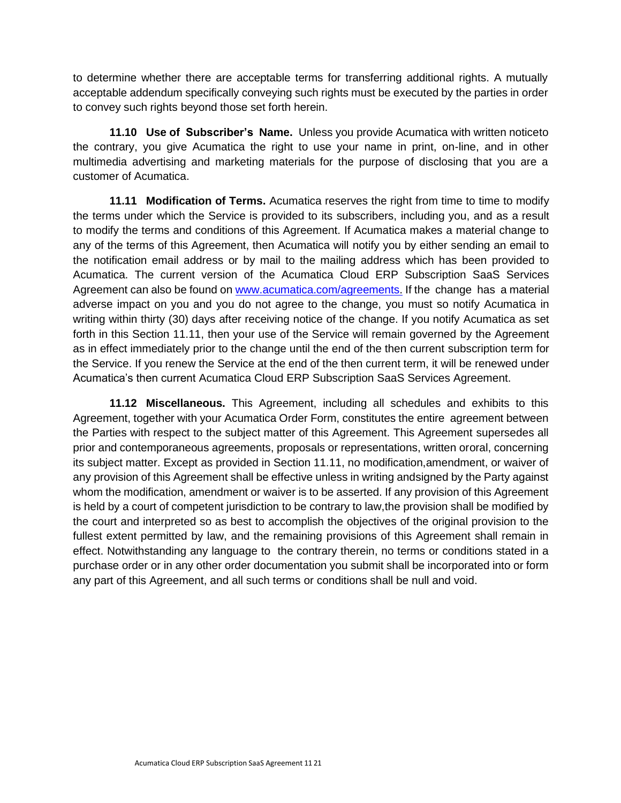to determine whether there are acceptable terms for transferring additional rights. A mutually acceptable addendum specifically conveying such rights must be executed by the parties in order to convey such rights beyond those set forth herein.

**11.10 Use of Subscriber's Name.** Unless you provide Acumatica with written noticeto the contrary, you give Acumatica the right to use your name in print, on-line, and in other multimedia advertising and marketing materials for the purpose of disclosing that you are a customer of Acumatica.

**11.11 Modification of Terms.** Acumatica reserves the right from time to time to modify the terms under which the Service is provided to its subscribers, including you, and as a result to modify the terms and conditions of this Agreement. If Acumatica makes a material change to any of the terms of this Agreement, then Acumatica will notify you by either sending an email to the notification email address or by mail to the mailing address which has been provided to Acumatica. The current version of the Acumatica Cloud ERP Subscription SaaS Services Agreement can also be found on [www.acumatica.com/agreements.](http://www.acumatica.com/) If the change has a material adverse impact on you and you do not agree to the change, you must so notify Acumatica in writing within thirty (30) days after receiving notice of the change. If you notify Acumatica as set forth in this Section 11.11, then your use of the Service will remain governed by the Agreement as in effect immediately prior to the change until the end of the then current subscription term for the Service. If you renew the Service at the end of the then current term, it will be renewed under Acumatica's then current Acumatica Cloud ERP Subscription SaaS Services Agreement.

**11.12 Miscellaneous.** This Agreement, including all schedules and exhibits to this Agreement, together with your Acumatica Order Form, constitutes the entire agreement between the Parties with respect to the subject matter of this Agreement. This Agreement supersedes all prior and contemporaneous agreements, proposals or representations, written ororal, concerning its subject matter. Except as provided in Section 11.11, no modification,amendment, or waiver of any provision of this Agreement shall be effective unless in writing andsigned by the Party against whom the modification, amendment or waiver is to be asserted. If any provision of this Agreement is held by a court of competent jurisdiction to be contrary to law,the provision shall be modified by the court and interpreted so as best to accomplish the objectives of the original provision to the fullest extent permitted by law, and the remaining provisions of this Agreement shall remain in effect. Notwithstanding any language to the contrary therein, no terms or conditions stated in a purchase order or in any other order documentation you submit shall be incorporated into or form any part of this Agreement, and all such terms or conditions shall be null and void.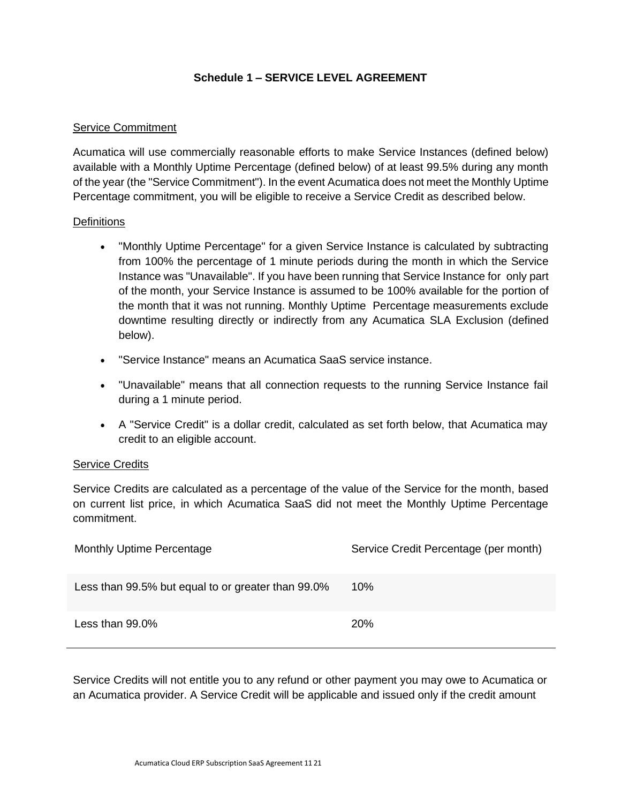## **Schedule 1 – SERVICE LEVEL AGREEMENT**

#### Service Commitment

Acumatica will use commercially reasonable efforts to make Service Instances (defined below) available with a Monthly Uptime Percentage (defined below) of at least 99.5% during any month of the year (the "Service Commitment"). In the event Acumatica does not meet the Monthly Uptime Percentage commitment, you will be eligible to receive a Service Credit as described below.

#### **Definitions**

- "Monthly Uptime Percentage" for a given Service Instance is calculated by subtracting from 100% the percentage of 1 minute periods during the month in which the Service Instance was "Unavailable". If you have been running that Service Instance for only part of the month, your Service Instance is assumed to be 100% available for the portion of the month that it was not running. Monthly Uptime Percentage measurements exclude downtime resulting directly or indirectly from any Acumatica SLA Exclusion (defined below).
- "Service Instance" means an Acumatica SaaS service instance.
- "Unavailable" means that all connection requests to the running Service Instance fail during a 1 minute period.
- A "Service Credit" is a dollar credit, calculated as set forth below, that Acumatica may credit to an eligible account.

#### Service Credits

Service Credits are calculated as a percentage of the value of the Service for the month, based on current list price, in which Acumatica SaaS did not meet the Monthly Uptime Percentage commitment.

| <b>Monthly Uptime Percentage</b>                   | Service Credit Percentage (per month) |
|----------------------------------------------------|---------------------------------------|
| Less than 99.5% but equal to or greater than 99.0% | 10%                                   |
| Less than 99.0%                                    | <b>20%</b>                            |

Service Credits will not entitle you to any refund or other payment you may owe to Acumatica or an Acumatica provider. A Service Credit will be applicable and issued only if the credit amount